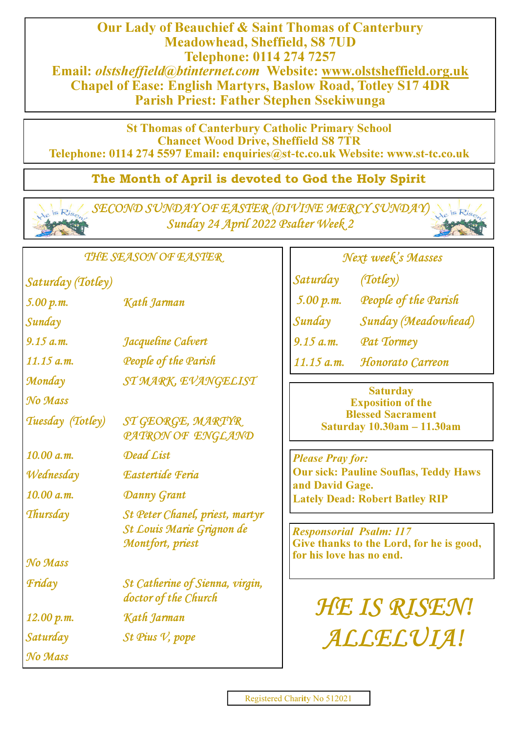Our Lady of Beauchief & Saint Thomas of Canterbury Meadowhead, Sheffield, S8 7UD Telephone: 0114 274 7257 Email: olstsheffield@btinternet.com Website: www.olstsheffield.org.uk Chapel of Ease: English Martyrs, Baslow Road, Totley S17 4DR Parish Priest: Father Stephen Ssekiwunga

St Thomas of Canterbury Catholic Primary School Chancet Wood Drive, Sheffield S8 7TR Telephone: 0114 274 5597 Email: enquiries@st**-**tc.co.uk Website: www.st**-**tc.co.uk

# The Month of April is devoted to God the Holy Spirit

SECOND SUNDAY OF EASTER (DIVINE MERCY SUNDAY) Sunday 24 April 2022 Psalter Week 2

THE SEASON OF EASTER

Saturday (Totley)

5.00 p.m. Kath Jarman Sunday 9.15 a.m. Jacqueline Calvert Monday ST MARK, EVANGELIST No Mass Tuesday (Totley) ST GEORGE, MARTYR PATRON OF ENGLAND  $10.00 a.m.$  Dead Cist Wednesday Eastertide Feria 10.00 a.m. Danny Grant Thursday St Peter Chanel, priest, martyr St Louis Marie Grignon de Montfort, priest No Mass Friday St Catherine of Sienna, virgin, doctor of the Church 12.00 p.m. Kath Jarman 11.15 a.m. People of the Parish

Saturday St Pius V, pope No Mass

Next week's Masses Saturday (Totley) 5.00 p.m. People of the Parish Sunday Sunday (Meadowhead) 9.15 a.m. Pat Tormey

11.15 a.m. Honorato Carreon

#### **Saturday** Exposition of the Blessed Sacrament Saturday 10.30am **–** 11.30am

Please Pray for: Our sick: Pauline Souflas, Teddy Haws and David Gage. Lately Dead: Robert Batley RIP

Responsorial Psalm: 117 Give thanks to the Lord, for he is good, for his love has no end.

HE IS RISEN! ALLELUIA!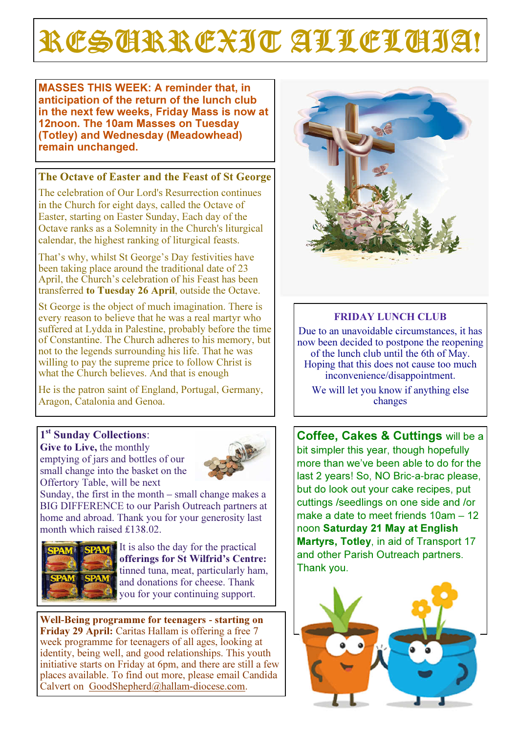# RESCRREXIT ALLELCIJA!

MASSES THIS WEEK: A reminder that, in anticipation of the return of the lunch club in the next few weeks, Friday Mass is now at 12noon. The 10am Masses on Tuesday (Totley) and Wednesday (Meadowhead) remain unchanged.

## The Octave of Easter and the Feast of St George

The celebration of Our Lord's Resurrection continues in the Church for eight days, called the Octave of Easter, starting on Easter Sunday, Each day of the Octave ranks as a Solemnity in the Church's liturgical calendar, the highest ranking of liturgical feasts.

That's why, whilst St George's Day festivities have been taking place around the traditional date of 23 April, the Church's celebration of his Feast has been transferred to Tuesday 26 April, outside the Octave.

St George is the object of much imagination. There is every reason to believe that he was a real martyr who suffered at Lydda in Palestine, probably before the time of Constantine. The Church adheres to his memory, but not to the legends surrounding his life. That he was willing to pay the supreme price to follow Christ is what the Church believes. And that is enough

He is the patron saint of England, Portugal, Germany, Aragon, Catalonia and Genoa.

# 1<sup>st</sup> Sunday Collections:

Give to Live, the monthly emptying of jars and bottles of our small change into the basket on the Offertory Table, will be next



Sunday, the first in the month – small change makes a BIG DIFFERENCE to our Parish Outreach partners at home and abroad. Thank you for your generosity last month which raised £138.02.



It is also the day for the practical offerings for St Wilfrid's Centre: tinned tuna, meat, particularly ham, and donations for cheese. Thank you for your continuing support.

Well**-**Being programme for teenagers **-** starting on Friday 29 April: Caritas Hallam is offering a free 7 week programme for teenagers of all ages, looking at identity, being well, and good relationships. This youth initiative starts on Friday at 6pm, and there are still a few places available. To find out more, please email Candida Calvert on GoodShepherd@hallam-diocese.com.



# FRIDAY LUNCH CLUB

Due to an unavoidable circumstances, it has now been decided to postpone the reopening of the lunch club until the 6th of May. Hoping that this does not cause too much inconvenience/disappointment.

We will let you know if anything else changes

Coffee, Cakes & Cuttings will be a bit simpler this year, though hopefully more than we've been able to do for the last 2 years! So, NO Bric-a-brac please, but do look out your cake recipes, put cuttings /seedlings on one side and /or make a date to meet friends 10am - 12 noon Saturday 21 May at English Martyrs, Totley, in aid of Transport 17 and other Parish Outreach partners. Thank you.

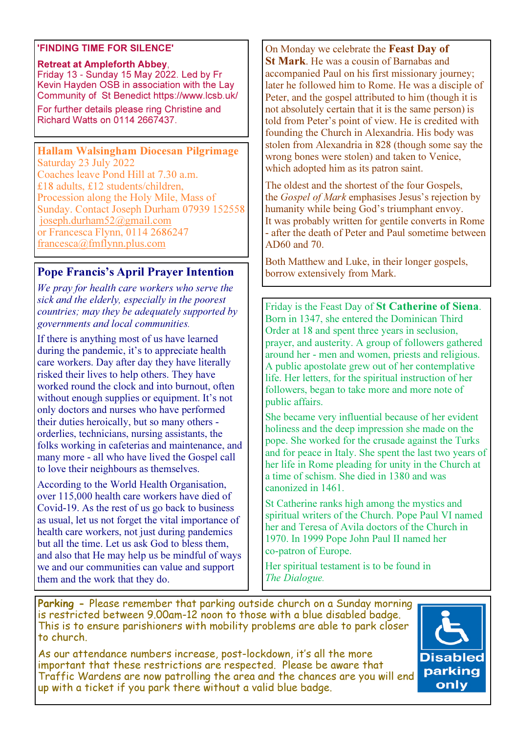#### 'FINDING TIME FOR SILENCE'

#### Retreat at Ampleforth Abbey, Friday 13 - Sunday 15 May 2022. Led by Fr Kevin Hayden OSB in association with the Lay Community of St Benedict https://www.lcsb.uk/

For further details please ring Christine and Richard Watts on 0114 2667437.

## Hallam Walsingham Diocesan Pilgrimage

Saturday 23 July 2022 Coaches leave Pond Hill at 7.30 a.m. £18 adults, £12 students/children, Procession along the Holy Mile, Mass of Sunday. Contact Joseph Durham 07939 152558 joseph.durham52@gmail.com or Francesca Flynn, 0114 2686247 francesca@fmflynn.plus.com

# Pope Francis's April Prayer Intention

We pray for health care workers who serve the sick and the elderly, especially in the poorest countries; may they be adequately supported by governments and local communities.

If there is anything most of us have learned during the pandemic, it's to appreciate health care workers. Day after day they have literally risked their lives to help others. They have worked round the clock and into burnout, often without enough supplies or equipment. It's not only doctors and nurses who have performed their duties heroically, but so many others orderlies, technicians, nursing assistants, the folks working in cafeterias and maintenance, and many more - all who have lived the Gospel call to love their neighbours as themselves.

According to the World Health Organisation, over 115,000 health care workers have died of Covid-19. As the rest of us go back to business as usual, let us not forget the vital importance of health care workers, not just during pandemics but all the time. Let us ask God to bless them, and also that He may help us be mindful of ways we and our communities can value and support them and the work that they do.

## On Monday we celebrate the Feast Day of

St Mark. He was a cousin of Barnabas and accompanied Paul on his first missionary journey; later he followed him to Rome. He was a disciple of Peter, and the gospel attributed to him (though it is not absolutely certain that it is the same person) is told from Peter's point of view. He is credited with founding the Church in Alexandria. His body was stolen from Alexandria in 828 (though some say the wrong bones were stolen) and taken to Venice, which adopted him as its patron saint.

The oldest and the shortest of the four Gospels, the *Gospel of Mark* emphasises Jesus's rejection by humanity while being God's triumphant envoy. It was probably written for gentile converts in Rome - after the death of Peter and Paul sometime between AD60 and 70.

Both Matthew and Luke, in their longer gospels, borrow extensively from Mark.

Friday is the Feast Day of St Catherine of Siena. Born in 1347, she entered the Dominican Third Order at 18 and spent three years in seclusion, prayer, and austerity. A group of followers gathered around her - men and women, priests and religious. A public apostolate grew out of her contemplative life. Her letters, for the spiritual instruction of her followers, began to take more and more note of public affairs.

She became very influential because of her evident holiness and the deep impression she made on the pope. She worked for the crusade against the Turks and for peace in Italy. She spent the last two years of her life in Rome pleading for unity in the Church at a time of schism. She died in 1380 and was canonized in 1461.

St Catherine ranks high among the mystics and spiritual writers of the Church. Pope Paul VI named her and Teresa of Avila doctors of the Church in 1970. In 1999 Pope John Paul II named her co-patron of Europe.

Her spiritual testament is to be found in The Dialogue.

Parking - Please remember that parking outside church on a Sunday morning is restricted between 9.00am-12 noon to those with a blue disabled badge. This is to ensure parishioners with mobility problems are able to park closer to church.

As our attendance numbers increase, post-lockdown, it's all the more important that these restrictions are respected. Please be aware that Traffic Wardens are now patrolling the area and the chances are you will end up with a ticket if you park there without a valid blue badge.